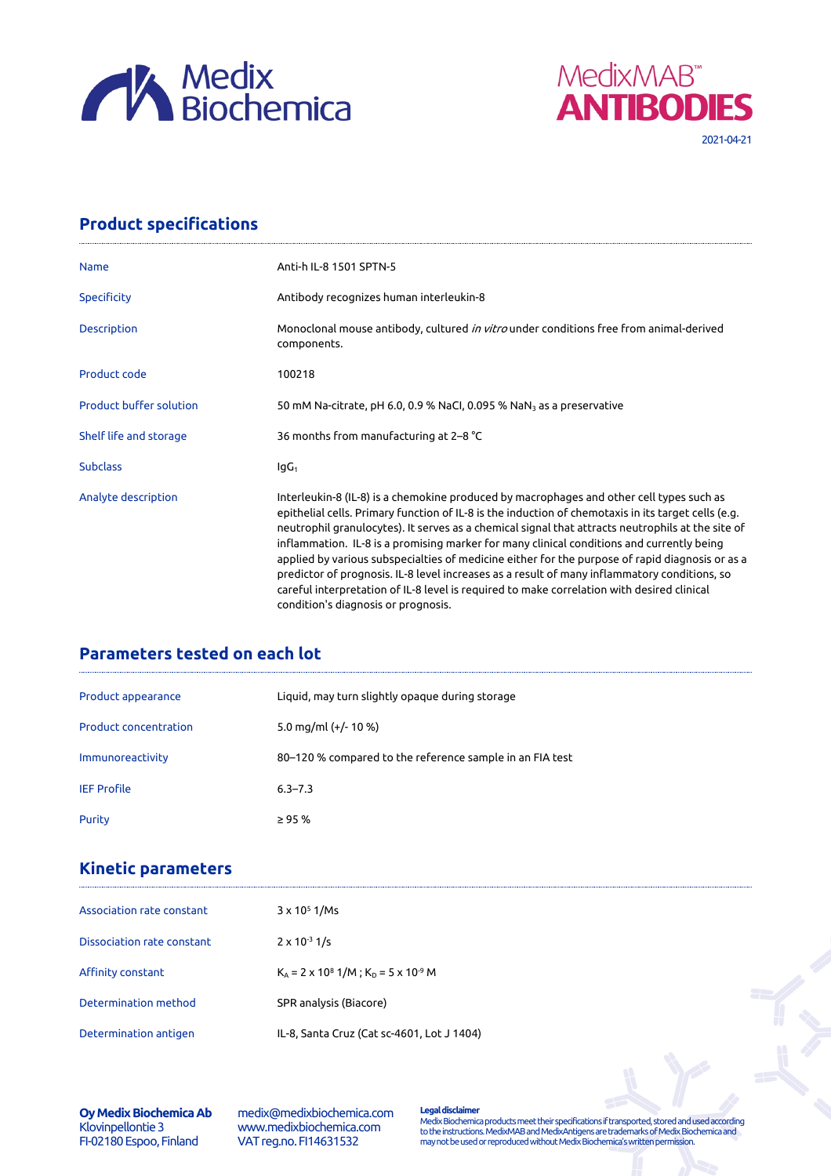



**Product specifications**

| <b>Name</b>                    | Anti-h IL-8 1501 SPTN-5                                                                                                                                                                                                                                                                                                                                                                                                                                                                                                                                                                                                                                                                                                                   |
|--------------------------------|-------------------------------------------------------------------------------------------------------------------------------------------------------------------------------------------------------------------------------------------------------------------------------------------------------------------------------------------------------------------------------------------------------------------------------------------------------------------------------------------------------------------------------------------------------------------------------------------------------------------------------------------------------------------------------------------------------------------------------------------|
| <b>Specificity</b>             | Antibody recognizes human interleukin-8                                                                                                                                                                                                                                                                                                                                                                                                                                                                                                                                                                                                                                                                                                   |
| <b>Description</b>             | Monoclonal mouse antibody, cultured <i>in vitro</i> under conditions free from animal-derived<br>components.                                                                                                                                                                                                                                                                                                                                                                                                                                                                                                                                                                                                                              |
| Product code                   | 100218                                                                                                                                                                                                                                                                                                                                                                                                                                                                                                                                                                                                                                                                                                                                    |
| <b>Product buffer solution</b> | 50 mM Na-citrate, pH 6.0, 0.9 % NaCl, 0.095 % NaN <sub>3</sub> as a preservative                                                                                                                                                                                                                                                                                                                                                                                                                                                                                                                                                                                                                                                          |
| Shelf life and storage         | 36 months from manufacturing at 2-8 °C                                                                                                                                                                                                                                                                                                                                                                                                                                                                                                                                                                                                                                                                                                    |
| <b>Subclass</b>                | $IqG_1$                                                                                                                                                                                                                                                                                                                                                                                                                                                                                                                                                                                                                                                                                                                                   |
| Analyte description            | Interleukin-8 (IL-8) is a chemokine produced by macrophages and other cell types such as<br>epithelial cells. Primary function of IL-8 is the induction of chemotaxis in its target cells (e.g.<br>neutrophil granulocytes). It serves as a chemical signal that attracts neutrophils at the site of<br>inflammation. IL-8 is a promising marker for many clinical conditions and currently being<br>applied by various subspecialties of medicine either for the purpose of rapid diagnosis or as a<br>predictor of prognosis. IL-8 level increases as a result of many inflammatory conditions, so<br>careful interpretation of IL-8 level is required to make correlation with desired clinical<br>condition's diagnosis or prognosis. |

## **Parameters tested on each lot**

| Product appearance           | Liquid, may turn slightly opaque during storage          |
|------------------------------|----------------------------------------------------------|
| <b>Product concentration</b> | 5.0 mg/ml $(+/- 10 %$                                    |
| Immunoreactivity             | 80-120 % compared to the reference sample in an FIA test |
| <b>IEF Profile</b>           | $6.3 - 7.3$                                              |
| Purity                       | $\geq$ 95 %                                              |

## **Kinetic parameters**

| Association rate constant  | $3 \times 10^5$ 1/Ms                                  |
|----------------------------|-------------------------------------------------------|
| Dissociation rate constant | $2 \times 10^{-3}$ 1/s                                |
| Affinity constant          | $K_A = 2 \times 10^8$ 1/M; $K_D = 5 \times 10^{-9}$ M |
| Determination method       | SPR analysis (Biacore)                                |
| Determination antigen      | IL-8, Santa Cruz (Cat sc-4601, Lot J 1404)            |

## **Oy Medix Biochemica Ab** Klovinpellontie 3 FI-02180 Espoo, Finland

medix@medixbiochemica.com www.medixbiochemica.com VAT reg.no. FI14631532

**Legal disclaimer** Medix Biochemica products meet their specifications if transported, stored and used according to the instructions. MedixMAB and MedixAntigens are trademarks of Medix Biochemica and may not be used or reproduced without Medix Biochemica's written permission.